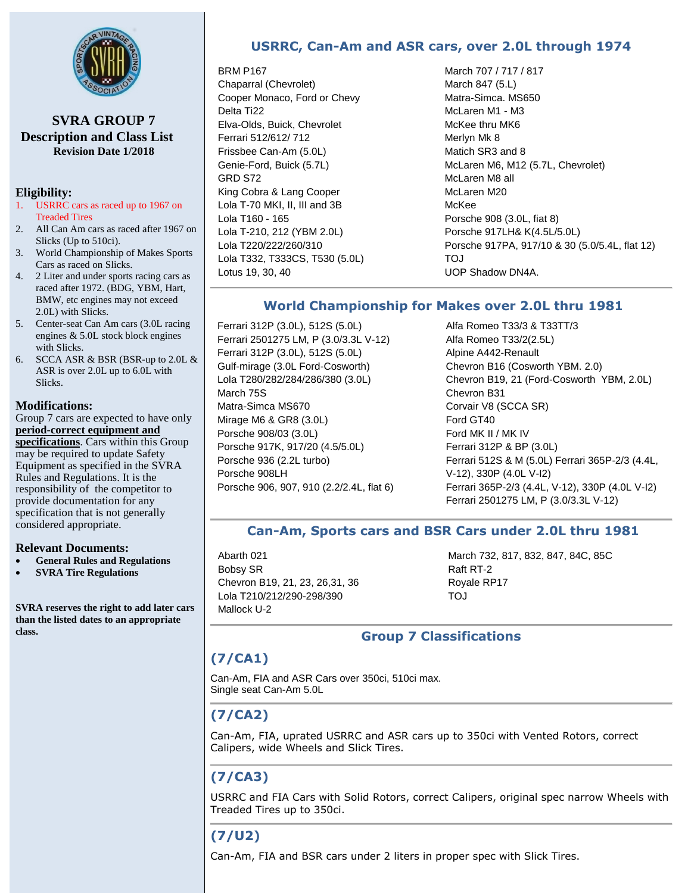

**SVRA GROUP 7 Description and Class List Revision Date 1/2018**

### **Eligibility:**

- 1. USRRC cars as raced up to 1967 on Treaded Tires
- 2. All Can Am cars as raced after 1967 on Slicks (Up to 510ci).
- 3. World Championship of Makes Sports Cars as raced on Slicks.
- 4. 2 Liter and under sports racing cars as raced after 1972. (BDG, YBM, Hart, BMW, etc engines may not exceed 2.0L) with Slicks.
- 5. Center-seat Can Am cars (3.0L racing engines & 5.0L stock block engines with Slicks.
- 6. SCCA ASR  $&$  BSR (BSR-up to 2.0L  $&$ ASR is over 2.0L up to 6.0L with Slicks.

#### **Modifications:**

Group 7 cars are expected to have only **period-correct equipment and specifications**. Cars within this Group may be required to update Safety Equipment as specified in the SVRA Rules and Regulations. It is the responsibility of the competitor to provide documentation for any specification that is not generally considered appropriate.

#### **Relevant Documents:**

- **General Rules and Regulations**
- **SVRA Tire Regulations**

**SVRA reserves the right to add later cars than the listed dates to an appropriate class.**

# **USRRC, Can-Am and ASR cars, over 2.0L through 1974**

#### BRM P167

Chaparral (Chevrolet) Cooper Monaco, Ford or Chevy Delta Ti22 Elva-Olds, Buick, Chevrolet Ferrari 512/612/ 712 Frissbee Can-Am (5.0L) Genie-Ford, Buick (5.7L) GRD S72 King Cobra & Lang Cooper Lola T-70 MKI, II, III and 3B Lola T160 - 165 Lola T-210, 212 (YBM 2.0L) Lola T220/222/260/310 Lola T332, T333CS, T530 (5.0L) Lotus 19, 30, 40

March 707 / 717 / 817 March 847 (5.L) Matra-Simca. MS650 McLaren M1 - M3 McKee thru MK6 Merlyn Mk 8 Matich SR3 and 8 McLaren M6, M12 (5.7L, Chevrolet) McLaren M8 all McLaren M20 McKee Porsche 908 (3.0L, fiat 8) Porsche 917LH& K(4.5L/5.0L) Porsche 917PA, 917/10 & 30 (5.0/5.4L, flat 12) TOJ UOP Shadow DN4A.

### **World Championship for Makes over 2.0L thru 1981**

Ferrari 312P (3.0L), 512S (5.0L) Ferrari 2501275 LM, P (3.0/3.3L V-12) Ferrari 312P (3.0L), 512S (5.0L) Gulf-mirage (3.0L Ford-Cosworth) Lola T280/282/284/286/380 (3.0L) March 75S Matra-Simca MS670 Mirage M6 & GR8 (3.0L) Porsche 908/03 (3.0L) Porsche 917K, 917/20 (4.5/5.0L) Porsche 936 (2.2L turbo) Porsche 908LH Porsche 906, 907, 910 (2.2/2.4L, flat 6)

Alfa Romeo T33/3 & T33TT/3 Alfa Romeo T33/2(2.5L) Alpine A442-Renault Chevron B16 (Cosworth YBM. 2.0) Chevron B19, 21 (Ford-Cosworth YBM, 2.0L) Chevron B31 Corvair V8 (SCCA SR) Ford GT40 Ford MK II / MK IV Ferrari 312P & BP (3.0L) Ferrari 512S & M (5.0L) Ferrari 365P-2/3 (4.4L, V-12), 330P (4.0L V-I2) Ferrari 365P-2/3 (4.4L, V-12), 330P (4.0L V-I2) Ferrari 2501275 LM, P (3.0/3.3L V-12)

### **Can-Am, Sports cars and BSR Cars under 2.0L thru 1981**

Abarth 021 Bobsy SR Chevron B19, 21, 23, 26,31, 36 Lola T210/212/290-298/390 Mallock U-2

March 732, 817, 832, 847, 84C, 85C Raft RT-2 Royale RP17 TOJ

### **Group 7 Classifications**

# **(7/CA1)**

Can-Am, FIA and ASR Cars over 350ci, 510ci max. Single seat Can-Am 5.0L

# **(7/CA2)**

Can-Am, FIA, uprated USRRC and ASR cars up to 350ci with Vented Rotors, correct Calipers, wide Wheels and Slick Tires.

# **(7/CA3)**

USRRC and FIA Cars with Solid Rotors, correct Calipers, original spec narrow Wheels with Treaded Tires up to 350ci.

# **(7/U2)**

Can-Am, FIA and BSR cars under 2 liters in proper spec with Slick Tires.